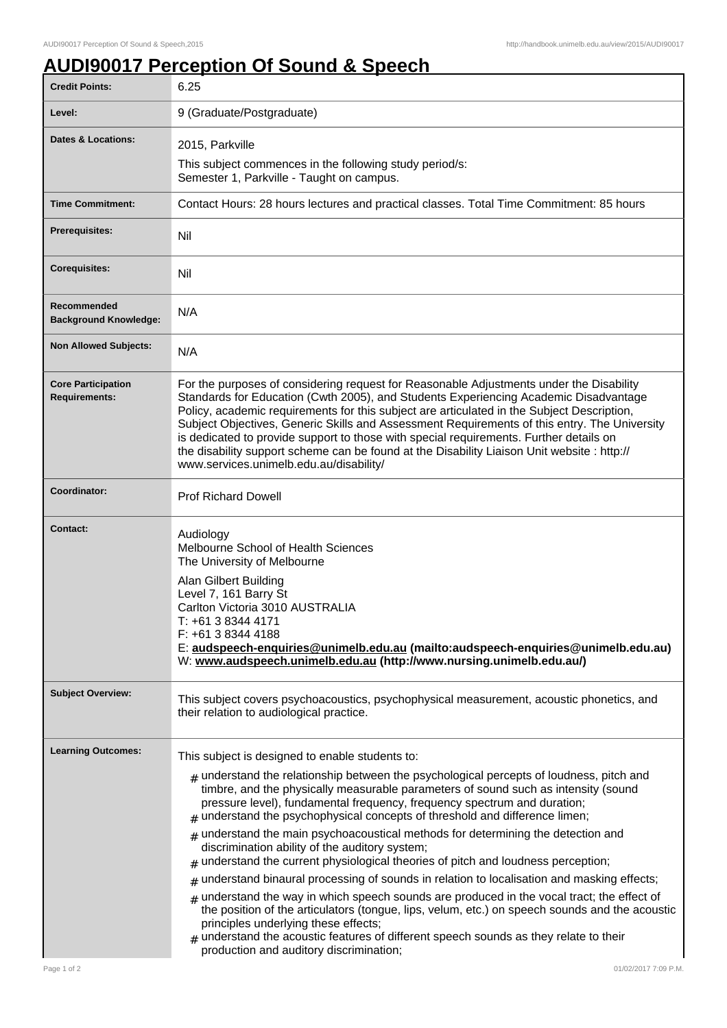## **AUDI90017 Perception Of Sound & Speech**

| <b>Credit Points:</b>                             | 6.25                                                                                                                                                                                                                                                                                                                                                                                                                                                                                                                                                                                                                                                                                                                                                                                                                                                                                                                                                                                                                                                                                                                   |
|---------------------------------------------------|------------------------------------------------------------------------------------------------------------------------------------------------------------------------------------------------------------------------------------------------------------------------------------------------------------------------------------------------------------------------------------------------------------------------------------------------------------------------------------------------------------------------------------------------------------------------------------------------------------------------------------------------------------------------------------------------------------------------------------------------------------------------------------------------------------------------------------------------------------------------------------------------------------------------------------------------------------------------------------------------------------------------------------------------------------------------------------------------------------------------|
| Level:                                            | 9 (Graduate/Postgraduate)                                                                                                                                                                                                                                                                                                                                                                                                                                                                                                                                                                                                                                                                                                                                                                                                                                                                                                                                                                                                                                                                                              |
| <b>Dates &amp; Locations:</b>                     | 2015, Parkville                                                                                                                                                                                                                                                                                                                                                                                                                                                                                                                                                                                                                                                                                                                                                                                                                                                                                                                                                                                                                                                                                                        |
|                                                   | This subject commences in the following study period/s:<br>Semester 1, Parkville - Taught on campus.                                                                                                                                                                                                                                                                                                                                                                                                                                                                                                                                                                                                                                                                                                                                                                                                                                                                                                                                                                                                                   |
| <b>Time Commitment:</b>                           | Contact Hours: 28 hours lectures and practical classes. Total Time Commitment: 85 hours                                                                                                                                                                                                                                                                                                                                                                                                                                                                                                                                                                                                                                                                                                                                                                                                                                                                                                                                                                                                                                |
| <b>Prerequisites:</b>                             | Nil                                                                                                                                                                                                                                                                                                                                                                                                                                                                                                                                                                                                                                                                                                                                                                                                                                                                                                                                                                                                                                                                                                                    |
| <b>Corequisites:</b>                              | Nil                                                                                                                                                                                                                                                                                                                                                                                                                                                                                                                                                                                                                                                                                                                                                                                                                                                                                                                                                                                                                                                                                                                    |
| Recommended<br><b>Background Knowledge:</b>       | N/A                                                                                                                                                                                                                                                                                                                                                                                                                                                                                                                                                                                                                                                                                                                                                                                                                                                                                                                                                                                                                                                                                                                    |
| <b>Non Allowed Subjects:</b>                      | N/A                                                                                                                                                                                                                                                                                                                                                                                                                                                                                                                                                                                                                                                                                                                                                                                                                                                                                                                                                                                                                                                                                                                    |
| <b>Core Participation</b><br><b>Requirements:</b> | For the purposes of considering request for Reasonable Adjustments under the Disability<br>Standards for Education (Cwth 2005), and Students Experiencing Academic Disadvantage<br>Policy, academic requirements for this subject are articulated in the Subject Description,<br>Subject Objectives, Generic Skills and Assessment Requirements of this entry. The University<br>is dedicated to provide support to those with special requirements. Further details on<br>the disability support scheme can be found at the Disability Liaison Unit website : http://<br>www.services.unimelb.edu.au/disability/                                                                                                                                                                                                                                                                                                                                                                                                                                                                                                      |
| Coordinator:                                      | <b>Prof Richard Dowell</b>                                                                                                                                                                                                                                                                                                                                                                                                                                                                                                                                                                                                                                                                                                                                                                                                                                                                                                                                                                                                                                                                                             |
| <b>Contact:</b>                                   | Audiology<br>Melbourne School of Health Sciences<br>The University of Melbourne<br>Alan Gilbert Building<br>Level 7, 161 Barry St<br>Carlton Victoria 3010 AUSTRALIA<br>$T: +61383444171$<br>F: +61 3 8344 4188<br>E: audspeech-enquiries@unimelb.edu.au (mailto:audspeech-enquiries@unimelb.edu.au)<br>W: www.audspeech.unimelb.edu.au (http://www.nursing.unimelb.edu.au/)                                                                                                                                                                                                                                                                                                                                                                                                                                                                                                                                                                                                                                                                                                                                           |
| <b>Subject Overview:</b>                          | This subject covers psychoacoustics, psychophysical measurement, acoustic phonetics, and<br>their relation to audiological practice.                                                                                                                                                                                                                                                                                                                                                                                                                                                                                                                                                                                                                                                                                                                                                                                                                                                                                                                                                                                   |
| <b>Learning Outcomes:</b>                         | This subject is designed to enable students to:<br>$#$ understand the relationship between the psychological percepts of loudness, pitch and<br>timbre, and the physically measurable parameters of sound such as intensity (sound<br>pressure level), fundamental frequency, frequency spectrum and duration;<br>$#$ understand the psychophysical concepts of threshold and difference limen;<br>$_{\#}$ understand the main psychoacoustical methods for determining the detection and<br>discrimination ability of the auditory system;<br>understand the current physiological theories of pitch and loudness perception;<br>#<br>understand binaural processing of sounds in relation to localisation and masking effects;<br>#<br>understand the way in which speech sounds are produced in the vocal tract; the effect of<br>#<br>the position of the articulators (tongue, lips, velum, etc.) on speech sounds and the acoustic<br>principles underlying these effects;<br>$#$ understand the acoustic features of different speech sounds as they relate to their<br>production and auditory discrimination; |